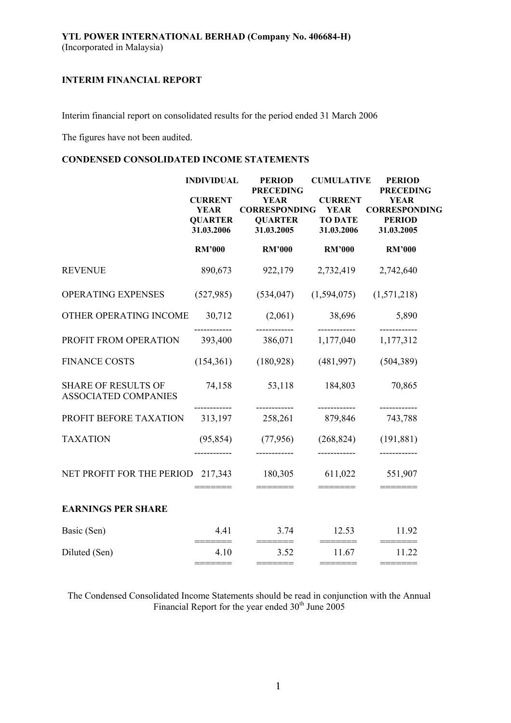Interim financial report on consolidated results for the period ended 31 March 2006

The figures have not been audited.

# **CONDENSED CONSOLIDATED INCOME STATEMENTS**

|                                                           | <b>INDIVIDUAL</b><br><b>CURRENT</b>         | <b>PERIOD</b><br><b>PRECEDING</b><br><b>YEAR</b>     | <b>CUMULATIVE</b><br><b>CURRENT</b>         | <b>PERIOD</b><br><b>PRECEDING</b><br><b>YEAR</b>    |
|-----------------------------------------------------------|---------------------------------------------|------------------------------------------------------|---------------------------------------------|-----------------------------------------------------|
|                                                           | <b>YEAR</b><br><b>QUARTER</b><br>31.03.2006 | <b>CORRESPONDING</b><br><b>QUARTER</b><br>31.03.2005 | <b>YEAR</b><br><b>TO DATE</b><br>31.03.2006 | <b>CORRESPONDING</b><br><b>PERIOD</b><br>31.03.2005 |
|                                                           | <b>RM'000</b>                               | <b>RM'000</b>                                        | <b>RM'000</b>                               | <b>RM'000</b>                                       |
| <b>REVENUE</b>                                            | 890,673                                     | 922,179                                              | 2,732,419                                   | 2,742,640                                           |
| OPERATING EXPENSES                                        | (527, 985)                                  | (534, 047)                                           | (1,594,075)                                 | (1,571,218)                                         |
| OTHER OPERATING INCOME                                    | 30,712                                      | (2,061)                                              | 38,696                                      | 5,890                                               |
| PROFIT FROM OPERATION                                     | 393,400                                     | 386,071                                              | 1,177,040                                   | 1,177,312                                           |
| <b>FINANCE COSTS</b>                                      | (154, 361)                                  | (180, 928)                                           | (481,997)                                   | (504, 389)                                          |
| <b>SHARE OF RESULTS OF</b><br><b>ASSOCIATED COMPANIES</b> | 74,158                                      | 53,118<br>------------                               | 184,803<br>------------                     | 70,865<br>------------                              |
| PROFIT BEFORE TAXATION                                    | 313,197                                     | 258,261                                              | 879,846                                     | 743,788                                             |
| <b>TAXATION</b>                                           | (95, 854)                                   | (77, 956)                                            | (268, 824)                                  | (191, 881)                                          |
| NET PROFIT FOR THE PERIOD 217,343                         |                                             | 180,305<br>=======                                   | 611,022                                     | 551,907                                             |
| <b>EARNINGS PER SHARE</b>                                 |                                             |                                                      |                                             |                                                     |
| Basic (Sen)                                               | 4.41                                        | 3.74<br>$=$ =======                                  | 12.53                                       | 11.92<br>$=$ $=$ $=$ $=$ $=$ $=$ $=$                |
| Diluted (Sen)                                             | 4.10                                        | 3.52                                                 | 11.67<br>=======                            | 11.22                                               |

The Condensed Consolidated Income Statements should be read in conjunction with the Annual Financial Report for the year ended  $30<sup>th</sup>$  June 2005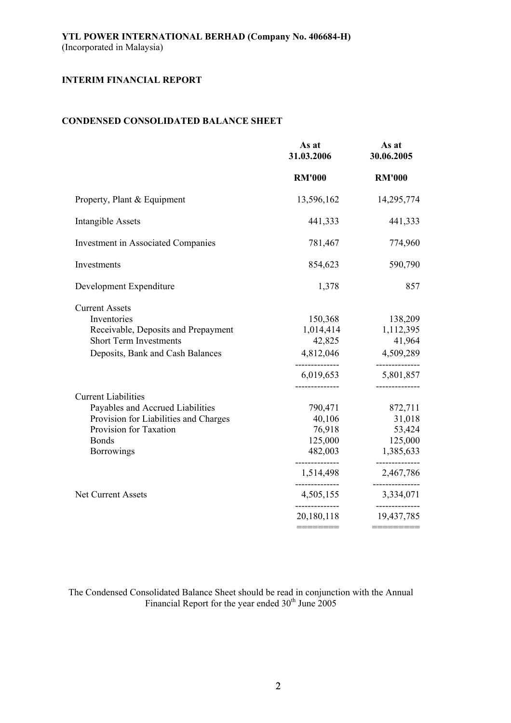# **CONDENSED CONSOLIDATED BALANCE SHEET**

|                                                                                                                                                                                                     | As at<br>31.03.2006                                                                                                           | As at<br>30.06.2005                                                                                        |
|-----------------------------------------------------------------------------------------------------------------------------------------------------------------------------------------------------|-------------------------------------------------------------------------------------------------------------------------------|------------------------------------------------------------------------------------------------------------|
|                                                                                                                                                                                                     | <b>RM'000</b>                                                                                                                 | <b>RM'000</b>                                                                                              |
| Property, Plant & Equipment                                                                                                                                                                         | 13,596,162                                                                                                                    | 14,295,774                                                                                                 |
| Intangible Assets                                                                                                                                                                                   | 441,333                                                                                                                       | 441,333                                                                                                    |
| <b>Investment in Associated Companies</b>                                                                                                                                                           | 781,467                                                                                                                       | 774,960                                                                                                    |
| Investments                                                                                                                                                                                         | 854,623                                                                                                                       | 590,790                                                                                                    |
| Development Expenditure                                                                                                                                                                             | 1,378                                                                                                                         | 857                                                                                                        |
| <b>Current Assets</b><br>Inventories<br>Receivable, Deposits and Prepayment<br><b>Short Term Investments</b><br>Deposits, Bank and Cash Balances                                                    | 150,368<br>1,014,414<br>42,825<br>4,812,046<br>6,019,653                                                                      | 138,209<br>1,112,395<br>41,964<br>4,509,289<br>5,801,857<br>-----------                                    |
| <b>Current Liabilities</b><br>Payables and Accrued Liabilities<br>Provision for Liabilities and Charges<br>Provision for Taxation<br><b>Bonds</b><br><b>Borrowings</b><br><b>Net Current Assets</b> | 790,471<br>40,106<br>76,918<br>125,000<br>482,003<br>--------------<br>1,514,498<br>--------------<br>4,505,155<br>20,180,118 | 872,711<br>31,018<br>53,424<br>125,000<br>1,385,633<br>-----------<br>2,467,786<br>3,334,071<br>19,437,785 |
|                                                                                                                                                                                                     | ————————                                                                                                                      |                                                                                                            |

The Condensed Consolidated Balance Sheet should be read in conjunction with the Annual Financial Report for the year ended  $30<sup>th</sup>$  June 2005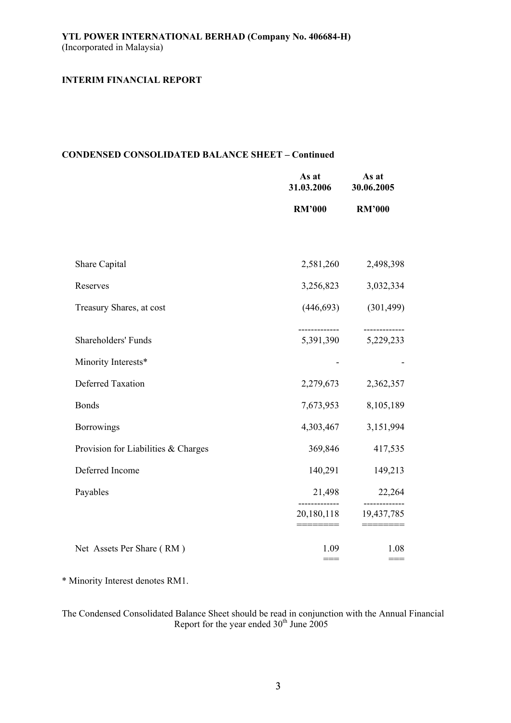## **CONDENSED CONSOLIDATED BALANCE SHEET – Continued**

|                                     | As at<br>31.03.2006 | As at<br>30.06.2005      |
|-------------------------------------|---------------------|--------------------------|
|                                     | <b>RM'000</b>       | <b>RM'000</b>            |
|                                     |                     |                          |
| Share Capital                       | 2,581,260           | 2,498,398                |
| Reserves                            | 3,256,823           | 3,032,334                |
| Treasury Shares, at cost            | (446, 693)          | (301, 499)               |
| Shareholders' Funds                 | 5,391,390           | -----------<br>5,229,233 |
| Minority Interests*                 |                     |                          |
| <b>Deferred Taxation</b>            | 2,279,673           | 2,362,357                |
| <b>Bonds</b>                        | 7,673,953           | 8,105,189                |
| <b>Borrowings</b>                   | 4,303,467           | 3,151,994                |
| Provision for Liabilities & Charges | 369,846             | 417,535                  |
| Deferred Income                     | 140,291             | 149,213                  |
| Payables                            | 21,498              | 22,264                   |
|                                     | 20,180,118          | 19,437,785               |
| Net Assets Per Share (RM)           | 1.09<br>$===$       | 1.08<br>$===$            |

\* Minority Interest denotes RM1.

The Condensed Consolidated Balance Sheet should be read in conjunction with the Annual Financial Report for the year ended  $30<sup>th</sup>$  June 2005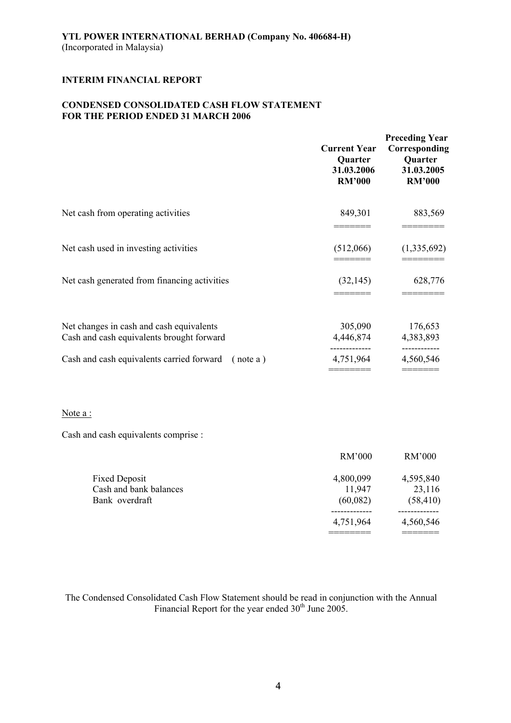# **CONDENSED CONSOLIDATED CASH FLOW STATEMENT FOR THE PERIOD ENDED 31 MARCH 2006**

|                                                                                       | <b>Current Year</b><br>Quarter<br>31.03.2006<br><b>RM'000</b> | <b>Preceding Year</b><br>Corresponding<br>Quarter<br>31.03.2005<br><b>RM'000</b> |
|---------------------------------------------------------------------------------------|---------------------------------------------------------------|----------------------------------------------------------------------------------|
| Net cash from operating activities                                                    | 849,301                                                       | 883,569                                                                          |
| Net cash used in investing activities                                                 | (512,066)                                                     | (1,335,692)                                                                      |
| Net cash generated from financing activities                                          | (32, 145)                                                     | 628,776                                                                          |
| Net changes in cash and cash equivalents<br>Cash and cash equivalents brought forward | 305,090<br>4,446,874                                          | 176,653<br>4,383,893                                                             |
| Cash and cash equivalents carried forward (note a)                                    | 4,751,964                                                     | -----------<br>4,560,546<br>=======                                              |

### Note a :

Cash and cash equivalents comprise :

|                        | RM'000    | RM'000    |
|------------------------|-----------|-----------|
| <b>Fixed Deposit</b>   | 4,800,099 | 4,595,840 |
| Cash and bank balances | 11,947    | 23,116    |
| Bank overdraft         | (60,082)  | (58, 410) |
|                        |           |           |
|                        | 4,751,964 | 4,560,546 |
|                        |           |           |

The Condensed Consolidated Cash Flow Statement should be read in conjunction with the Annual Financial Report for the year ended  $30<sup>th</sup>$  June 2005.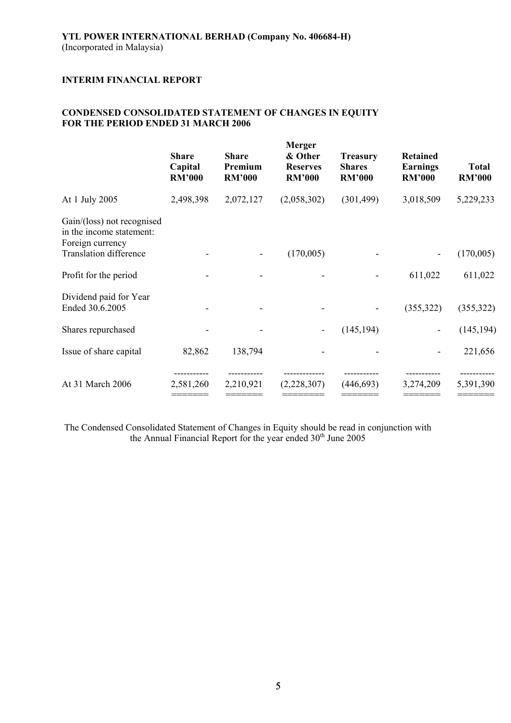# **CONDENSED CONSOLIDATED STATEMENT OF CHANGES IN EQUITY FOR THE PERIOD ENDED 31 MARCH 2006**

|                                                                            | <b>Share</b><br>Capital<br><b>RM'000</b> | <b>Share</b><br>Premium<br><b>RM'000</b> | <b>Merger</b><br>& Other<br><b>Reserves</b><br><b>RM'000</b> | <b>Treasury</b><br><b>Shares</b><br><b>RM'000</b> | <b>Retained</b><br><b>Earnings</b><br><b>RM'000</b> | <b>Total</b><br><b>RM'000</b> |
|----------------------------------------------------------------------------|------------------------------------------|------------------------------------------|--------------------------------------------------------------|---------------------------------------------------|-----------------------------------------------------|-------------------------------|
| At 1 July 2005                                                             | 2,498,398                                | 2,072,127                                | (2,058,302)                                                  | (301, 499)                                        | 3,018,509                                           | 5,229,233                     |
| Gain/(loss) not recognised<br>in the income statement:<br>Foreign currency |                                          |                                          |                                                              |                                                   |                                                     |                               |
| <b>Translation difference</b>                                              |                                          |                                          | (170,005)                                                    |                                                   |                                                     | (170,005)                     |
| Profit for the period                                                      |                                          |                                          |                                                              |                                                   | 611,022                                             | 611,022                       |
| Dividend paid for Year<br>Ended 30.6.2005                                  |                                          |                                          |                                                              |                                                   | (355, 322)                                          | (355,322)                     |
| Shares repurchased                                                         |                                          |                                          |                                                              | (145, 194)                                        |                                                     | (145, 194)                    |
| Issue of share capital                                                     | 82,862                                   | 138,794                                  |                                                              |                                                   |                                                     | 221,656                       |
| At 31 March 2006                                                           | 2,581,260                                | 2,210,921                                | (2,228,307)                                                  | (446, 693)                                        | 3,274,209                                           | 5,391,390                     |

The Condensed Consolidated Statement of Changes in Equity should be read in conjunction with the Annual Financial Report for the year ended 30<sup>th</sup> June 2005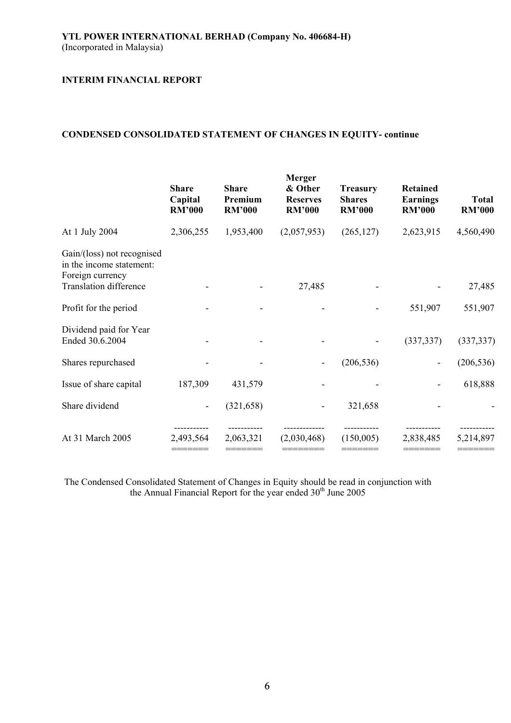## **CONDENSED CONSOLIDATED STATEMENT OF CHANGES IN EQUITY- continue**

|                                                                            | <b>Share</b><br>Capital<br><b>RM'000</b> | <b>Share</b><br>Premium<br><b>RM'000</b> | <b>Merger</b><br>& Other<br><b>Reserves</b><br><b>RM'000</b> | <b>Treasury</b><br><b>Shares</b><br><b>RM'000</b> | <b>Retained</b><br><b>Earnings</b><br><b>RM'000</b> | <b>Total</b><br><b>RM'000</b> |
|----------------------------------------------------------------------------|------------------------------------------|------------------------------------------|--------------------------------------------------------------|---------------------------------------------------|-----------------------------------------------------|-------------------------------|
| At 1 July 2004                                                             | 2,306,255                                | 1,953,400                                | (2,057,953)                                                  | (265, 127)                                        | 2,623,915                                           | 4,560,490                     |
| Gain/(loss) not recognised<br>in the income statement:<br>Foreign currency |                                          |                                          |                                                              |                                                   |                                                     |                               |
| <b>Translation difference</b>                                              |                                          |                                          | 27,485                                                       |                                                   |                                                     | 27,485                        |
| Profit for the period                                                      |                                          |                                          |                                                              |                                                   | 551,907                                             | 551,907                       |
| Dividend paid for Year<br>Ended 30.6.2004                                  |                                          |                                          |                                                              |                                                   | (337, 337)                                          | (337, 337)                    |
| Shares repurchased                                                         |                                          |                                          |                                                              | (206, 536)                                        |                                                     | (206, 536)                    |
| Issue of share capital                                                     | 187,309                                  | 431,579                                  |                                                              |                                                   |                                                     | 618,888                       |
| Share dividend                                                             |                                          | (321, 658)                               |                                                              | 321,658                                           |                                                     |                               |
| At 31 March 2005                                                           | 2,493,564                                | 2,063,321                                | (2,030,468)                                                  | (150,005)                                         | 2,838,485                                           | 5,214,897                     |

The Condensed Consolidated Statement of Changes in Equity should be read in conjunction with the Annual Financial Report for the year ended 30<sup>th</sup> June 2005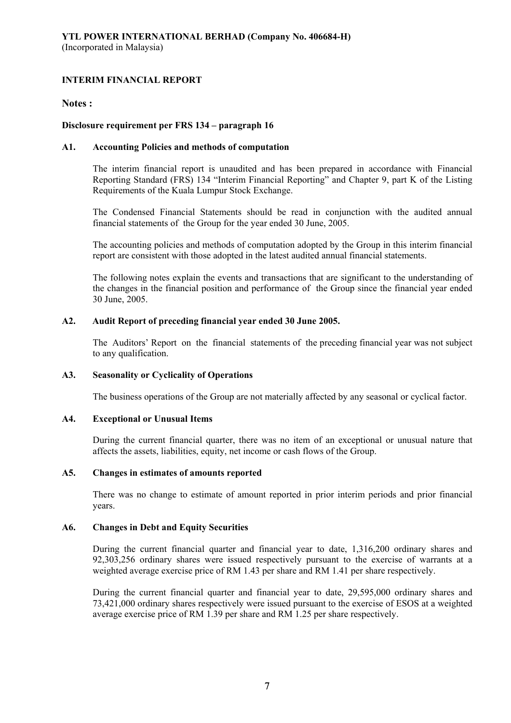## **Notes :**

## **Disclosure requirement per FRS 134 – paragraph 16**

### **A1. Accounting Policies and methods of computation**

The interim financial report is unaudited and has been prepared in accordance with Financial Reporting Standard (FRS) 134 "Interim Financial Reporting" and Chapter 9, part K of the Listing Requirements of the Kuala Lumpur Stock Exchange.

The Condensed Financial Statements should be read in conjunction with the audited annual financial statements of the Group for the year ended 30 June, 2005.

The accounting policies and methods of computation adopted by the Group in this interim financial report are consistent with those adopted in the latest audited annual financial statements.

The following notes explain the events and transactions that are significant to the understanding of the changes in the financial position and performance of the Group since the financial year ended 30 June, 2005.

### **A2. Audit Report of preceding financial year ended 30 June 2005.**

The Auditors' Report on the financial statements of the preceding financial year was not subject to any qualification.

### **A3. Seasonality or Cyclicality of Operations**

The business operations of the Group are not materially affected by any seasonal or cyclical factor.

## **A4. Exceptional or Unusual Items**

During the current financial quarter, there was no item of an exceptional or unusual nature that affects the assets, liabilities, equity, net income or cash flows of the Group.

### **A5. Changes in estimates of amounts reported**

There was no change to estimate of amount reported in prior interim periods and prior financial years.

### **A6. Changes in Debt and Equity Securities**

During the current financial quarter and financial year to date, 1,316,200 ordinary shares and 92,303,256 ordinary shares were issued respectively pursuant to the exercise of warrants at a weighted average exercise price of RM 1.43 per share and RM 1.41 per share respectively.

During the current financial quarter and financial year to date, 29,595,000 ordinary shares and 73,421,000 ordinary shares respectively were issued pursuant to the exercise of ESOS at a weighted average exercise price of RM 1.39 per share and RM 1.25 per share respectively.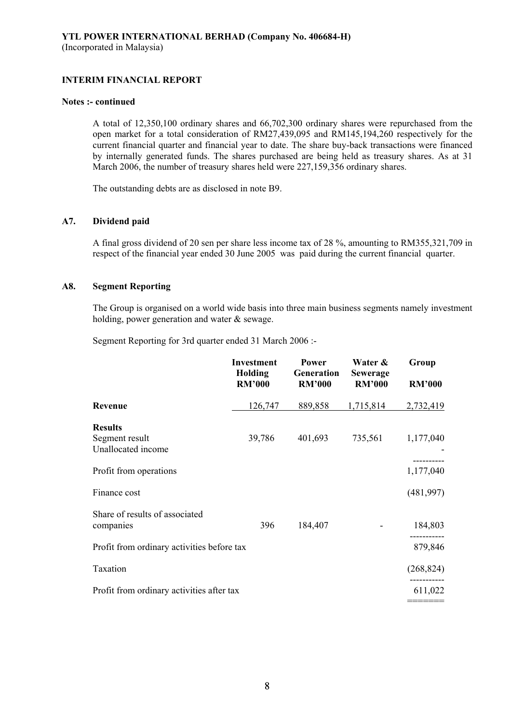#### **Notes :- continued**

A total of 12,350,100 ordinary shares and 66,702,300 ordinary shares were repurchased from the open market for a total consideration of RM27,439,095 and RM145,194,260 respectively for the current financial quarter and financial year to date. The share buy-back transactions were financed by internally generated funds. The shares purchased are being held as treasury shares. As at 31 March 2006, the number of treasury shares held were 227,159,356 ordinary shares.

The outstanding debts are as disclosed in note B9.

## **A7. Dividend paid**

A final gross dividend of 20 sen per share less income tax of 28 %, amounting to RM355,321,709 in respect of the financial year ended 30 June 2005 was paid during the current financial quarter.

## **A8. Segment Reporting**

The Group is organised on a world wide basis into three main business segments namely investment holding, power generation and water & sewage.

Segment Reporting for 3rd quarter ended 31 March 2006 :-

|                                                        | <b>Investment</b><br>Holding<br><b>RM'000</b> | <b>Power</b><br>Generation<br><b>RM'000</b> | Water &<br><b>Sewerage</b><br><b>RM'000</b> | Group<br><b>RM'000</b> |
|--------------------------------------------------------|-----------------------------------------------|---------------------------------------------|---------------------------------------------|------------------------|
| Revenue                                                | 126,747                                       | 889,858                                     | 1,715,814                                   | 2,732,419              |
| <b>Results</b><br>Segment result<br>Unallocated income | 39,786                                        | 401,693                                     | 735,561                                     | 1,177,040              |
| Profit from operations                                 |                                               |                                             |                                             | 1,177,040              |
| Finance cost                                           |                                               |                                             |                                             | (481, 997)             |
| Share of results of associated<br>companies            | 396                                           | 184,407                                     |                                             | 184,803                |
| Profit from ordinary activities before tax             |                                               |                                             |                                             | 879,846                |
| Taxation                                               |                                               |                                             |                                             | (268, 824)             |
| Profit from ordinary activities after tax              |                                               |                                             |                                             | 611,022                |
|                                                        |                                               |                                             |                                             |                        |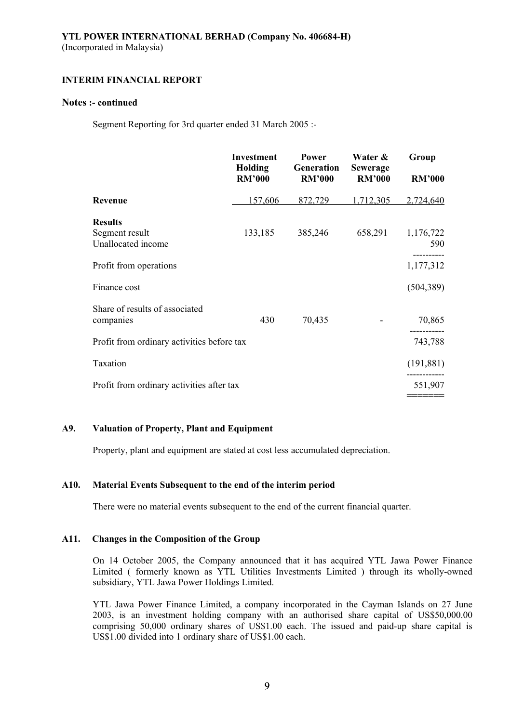## **Notes :- continued**

Segment Reporting for 3rd quarter ended 31 March 2005 :-

|                                             | <b>Investment</b><br><b>Holding</b><br><b>RM'000</b> | <b>Power</b><br>Generation<br><b>RM'000</b> | Water &<br><b>Sewerage</b><br><b>RM'000</b> | Group<br><b>RM'000</b> |
|---------------------------------------------|------------------------------------------------------|---------------------------------------------|---------------------------------------------|------------------------|
| Revenue                                     | 157,606                                              | 872,729                                     | 1,712,305                                   | 2,724,640              |
| <b>Results</b>                              |                                                      |                                             |                                             |                        |
| Segment result<br>Unallocated income        | 133,185                                              | 385,246                                     | 658,291                                     | 1,176,722<br>590       |
| Profit from operations                      |                                                      |                                             |                                             | 1,177,312              |
| Finance cost                                |                                                      |                                             |                                             | (504, 389)             |
| Share of results of associated<br>companies | 430                                                  | 70,435                                      |                                             | 70,865                 |
| Profit from ordinary activities before tax  |                                                      |                                             |                                             | 743,788                |
| Taxation                                    |                                                      |                                             |                                             | (191, 881)             |
| Profit from ordinary activities after tax   |                                                      |                                             |                                             | 551,907                |
|                                             |                                                      |                                             |                                             |                        |

## **A9. Valuation of Property, Plant and Equipment**

Property, plant and equipment are stated at cost less accumulated depreciation.

### **A10. Material Events Subsequent to the end of the interim period**

There were no material events subsequent to the end of the current financial quarter.

### **A11. Changes in the Composition of the Group**

On 14 October 2005, the Company announced that it has acquired YTL Jawa Power Finance Limited ( formerly known as YTL Utilities Investments Limited ) through its wholly-owned subsidiary, YTL Jawa Power Holdings Limited.

YTL Jawa Power Finance Limited, a company incorporated in the Cayman Islands on 27 June 2003, is an investment holding company with an authorised share capital of US\$50,000.00 comprising 50,000 ordinary shares of US\$1.00 each. The issued and paid-up share capital is US\$1.00 divided into 1 ordinary share of US\$1.00 each.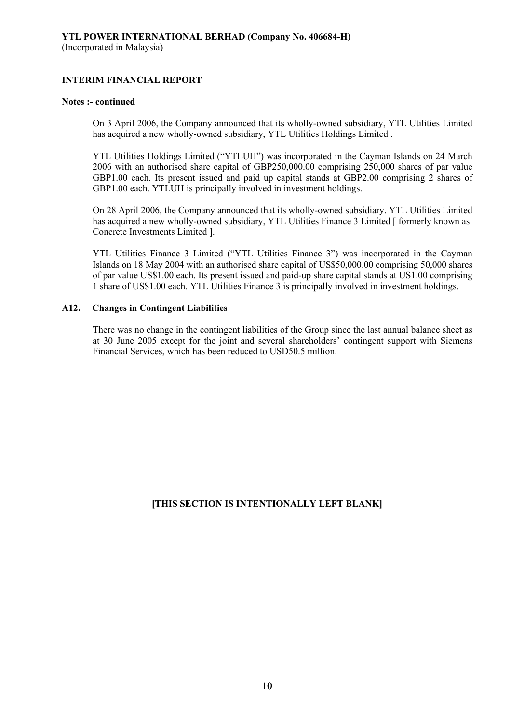#### **Notes :- continued**

On 3 April 2006, the Company announced that its wholly-owned subsidiary, YTL Utilities Limited has acquired a new wholly-owned subsidiary, YTL Utilities Holdings Limited .

YTL Utilities Holdings Limited ("YTLUH") was incorporated in the Cayman Islands on 24 March 2006 with an authorised share capital of GBP250,000.00 comprising 250,000 shares of par value GBP1.00 each. Its present issued and paid up capital stands at GBP2.00 comprising 2 shares of GBP1.00 each. YTLUH is principally involved in investment holdings.

On 28 April 2006, the Company announced that its wholly-owned subsidiary, YTL Utilities Limited has acquired a new wholly-owned subsidiary, YTL Utilities Finance 3 Limited [ formerly known as Concrete Investments Limited ].

YTL Utilities Finance 3 Limited ("YTL Utilities Finance 3") was incorporated in the Cayman Islands on 18 May 2004 with an authorised share capital of US\$50,000.00 comprising 50,000 shares of par value US\$1.00 each. Its present issued and paid-up share capital stands at US1.00 comprising 1 share of US\$1.00 each. YTL Utilities Finance 3 is principally involved in investment holdings.

### **A12. Changes in Contingent Liabilities**

There was no change in the contingent liabilities of the Group since the last annual balance sheet as at 30 June 2005 except for the joint and several shareholders' contingent support with Siemens Financial Services, which has been reduced to USD50.5 million.

# **[THIS SECTION IS INTENTIONALLY LEFT BLANK]**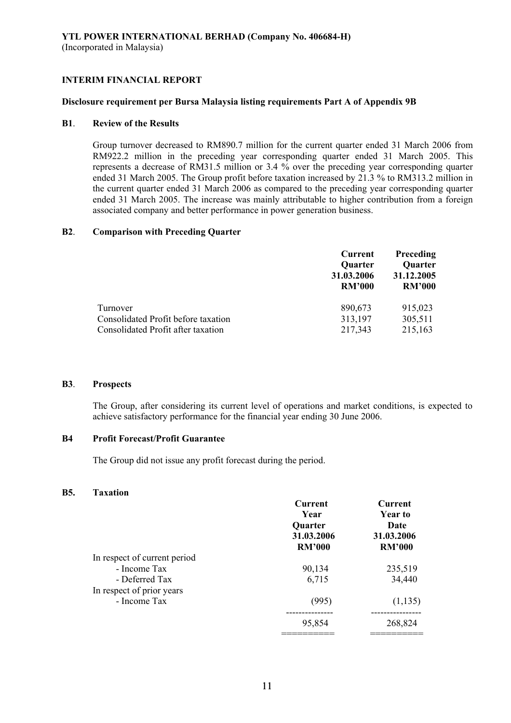#### **Disclosure requirement per Bursa Malaysia listing requirements Part A of Appendix 9B**

#### **B1**. **Review of the Results**

Group turnover decreased to RM890.7 million for the current quarter ended 31 March 2006 from RM922.2 million in the preceding year corresponding quarter ended 31 March 2005. This represents a decrease of RM31.5 million or 3.4 % over the preceding year corresponding quarter ended 31 March 2005. The Group profit before taxation increased by 21.3 % to RM313.2 million in the current quarter ended 31 March 2006 as compared to the preceding year corresponding quarter ended 31 March 2005. The increase was mainly attributable to higher contribution from a foreign associated company and better performance in power generation business.

### **B2**. **Comparison with Preceding Quarter**

|                                     | Current        | Preceding      |  |
|-------------------------------------|----------------|----------------|--|
|                                     | <b>Quarter</b> | <b>Quarter</b> |  |
|                                     | 31.03.2006     | 31.12.2005     |  |
|                                     | <b>RM'000</b>  | <b>RM'000</b>  |  |
| Turnover                            | 890,673        | 915,023        |  |
| Consolidated Profit before taxation | 313,197        | 305,511        |  |
| Consolidated Profit after taxation  | 217,343        | 215,163        |  |

#### **B3**. **Prospects**

The Group, after considering its current level of operations and market conditions, is expected to achieve satisfactory performance for the financial year ending 30 June 2006.

## **B4 Profit Forecast/Profit Guarantee**

The Group did not issue any profit forecast during the period.

#### **B5. Taxation**

|                              | <b>Current</b><br>Year<br><b>Quarter</b><br>31.03.2006<br><b>RM'000</b> | <b>Current</b><br><b>Year to</b><br>Date<br>31.03.2006<br><b>RM'000</b> |
|------------------------------|-------------------------------------------------------------------------|-------------------------------------------------------------------------|
| In respect of current period |                                                                         |                                                                         |
| - Income Tax                 | 90,134                                                                  | 235,519                                                                 |
| - Deferred Tax               | 6,715                                                                   | 34,440                                                                  |
| In respect of prior years    |                                                                         |                                                                         |
| - Income Tax                 | (995)                                                                   | (1, 135)                                                                |
|                              | 95,854                                                                  | 268,824                                                                 |
|                              |                                                                         |                                                                         |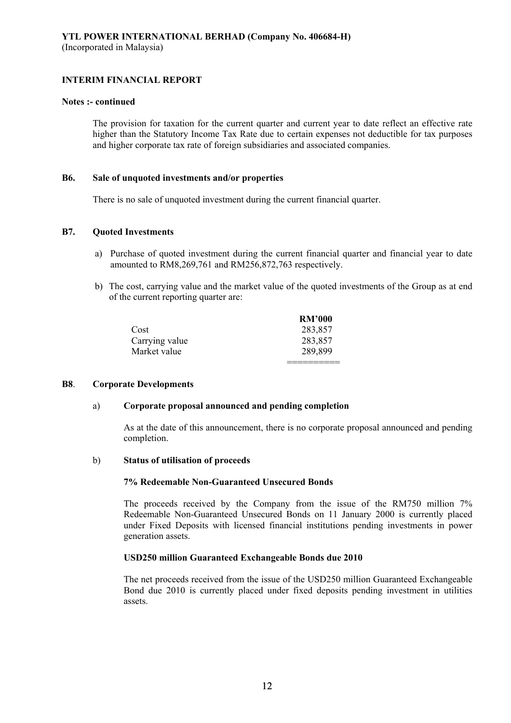#### **Notes :- continued**

The provision for taxation for the current quarter and current year to date reflect an effective rate higher than the Statutory Income Tax Rate due to certain expenses not deductible for tax purposes and higher corporate tax rate of foreign subsidiaries and associated companies.

#### **B6. Sale of unquoted investments and/or properties**

There is no sale of unquoted investment during the current financial quarter.

### **B7. Quoted Investments**

- a) Purchase of quoted investment during the current financial quarter and financial year to date amounted to RM8,269,761 and RM256,872,763 respectively.
- b) The cost, carrying value and the market value of the quoted investments of the Group as at end of the current reporting quarter are:

|                | <b>RM'000</b> |
|----------------|---------------|
| Cost           | 283,857       |
| Carrying value | 283,857       |
| Market value   | 289,899       |
|                |               |

#### **B8**. **Corporate Developments**

### a) **Corporate proposal announced and pending completion**

As at the date of this announcement, there is no corporate proposal announced and pending completion.

#### b) **Status of utilisation of proceeds**

#### **7% Redeemable Non-Guaranteed Unsecured Bonds**

The proceeds received by the Company from the issue of the RM750 million 7% Redeemable Non-Guaranteed Unsecured Bonds on 11 January 2000 is currently placed under Fixed Deposits with licensed financial institutions pending investments in power generation assets.

### **USD250 million Guaranteed Exchangeable Bonds due 2010**

The net proceeds received from the issue of the USD250 million Guaranteed Exchangeable Bond due 2010 is currently placed under fixed deposits pending investment in utilities assets.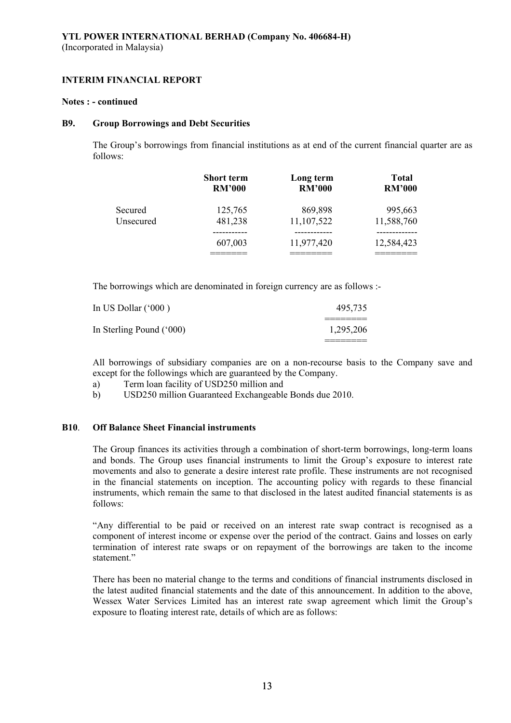#### **Notes : - continued**

#### **B9. Group Borrowings and Debt Securities**

The Group's borrowings from financial institutions as at end of the current financial quarter are as follows:

|           | <b>Short term</b> | Long term     | <b>Total</b>  |
|-----------|-------------------|---------------|---------------|
|           | <b>RM'000</b>     | <b>RM'000</b> | <b>RM'000</b> |
| Secured   | 125,765           | 869,898       | 995,663       |
| Unsecured | 481,238           | 11,107,522    | 11,588,760    |
|           | 607,003           | 11,977,420    | 12,584,423    |

The borrowings which are denominated in foreign currency are as follows :-

| In US Dollar ('000)      | 495.735   |
|--------------------------|-----------|
| In Sterling Pound ('000) | 1,295,206 |

All borrowings of subsidiary companies are on a non-recourse basis to the Company save and except for the followings which are guaranteed by the Company.

- a) Term loan facility of USD250 million and
- b) USD250 million Guaranteed Exchangeable Bonds due 2010.

# **B10**. **Off Balance Sheet Financial instruments**

The Group finances its activities through a combination of short-term borrowings, long-term loans and bonds. The Group uses financial instruments to limit the Group's exposure to interest rate movements and also to generate a desire interest rate profile. These instruments are not recognised in the financial statements on inception. The accounting policy with regards to these financial instruments, which remain the same to that disclosed in the latest audited financial statements is as follows:

"Any differential to be paid or received on an interest rate swap contract is recognised as a component of interest income or expense over the period of the contract. Gains and losses on early termination of interest rate swaps or on repayment of the borrowings are taken to the income statement."

There has been no material change to the terms and conditions of financial instruments disclosed in the latest audited financial statements and the date of this announcement. In addition to the above, Wessex Water Services Limited has an interest rate swap agreement which limit the Group's exposure to floating interest rate, details of which are as follows: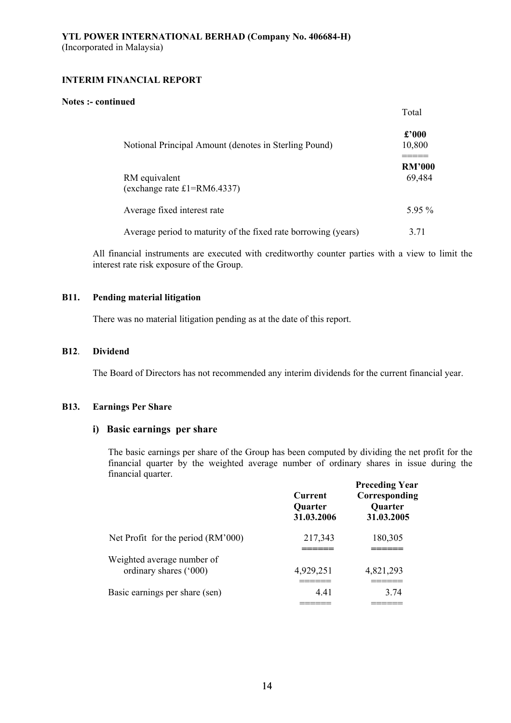#### **Notes :- continued**

|                                                                | Total                   |
|----------------------------------------------------------------|-------------------------|
| Notional Principal Amount (denotes in Sterling Pound)          | $\pounds 000$<br>10,800 |
| RM equivalent<br>(exchange rate $£1=RM6.4337$ )                | <b>RM'000</b><br>69,484 |
| Average fixed interest rate                                    | $595\%$                 |
| Average period to maturity of the fixed rate borrowing (years) | 3.71                    |

All financial instruments are executed with creditworthy counter parties with a view to limit the interest rate risk exposure of the Group.

## **B11. Pending material litigation**

There was no material litigation pending as at the date of this report.

#### **B12**. **Dividend**

The Board of Directors has not recommended any interim dividends for the current financial year.

#### **B13. Earnings Per Share**

## **i) Basic earnings per share**

The basic earnings per share of the Group has been computed by dividing the net profit for the financial quarter by the weighted average number of ordinary shares in issue during the financial quarter.

| .                                                    | Current<br><b>Quarter</b><br>31.03.2006 | <b>Preceding Year</b><br>Corresponding<br><b>Quarter</b><br>31.03.2005 |
|------------------------------------------------------|-----------------------------------------|------------------------------------------------------------------------|
| Net Profit for the period (RM'000)                   | 217,343                                 | 180,305                                                                |
| Weighted average number of<br>ordinary shares ('000) | 4,929,251                               | 4,821,293                                                              |
| Basic earnings per share (sen)                       | 4.41<br>_______                         | 3.74<br>______                                                         |